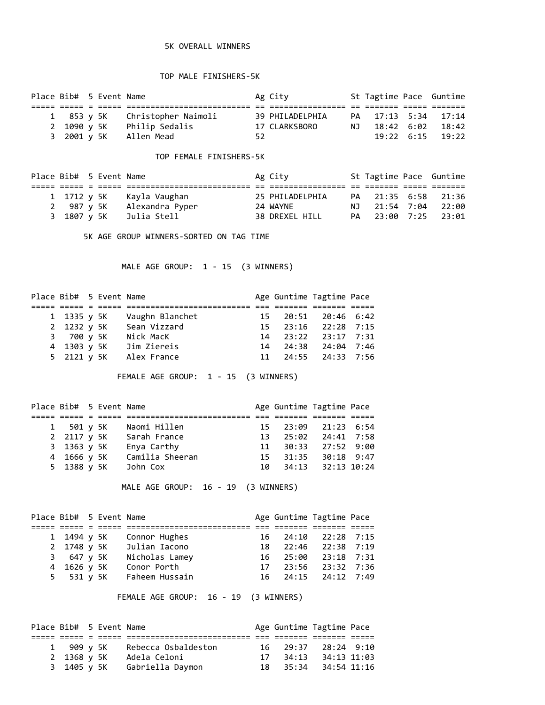## 5K OVERALL WINNERS

## TOP MALE FINISHERS-5K

| Place Bib# 5 Event Name |  |                                |    | Ag City         | St Tagtime Pace Guntime |                                |
|-------------------------|--|--------------------------------|----|-----------------|-------------------------|--------------------------------|
|                         |  |                                |    |                 |                         |                                |
|                         |  | 1 853 y 5K Christopher Naimoli |    | 39 PHILADELPHIA | PA 17:13 5:34 17:14     |                                |
|                         |  | 2 1090 y 5K Philip Sedalis     |    | 17 CLARKSBORO   | NJ 18:42 6:02 18:42     |                                |
|                         |  | 3 2001 y 5K Allen Mead         | 52 |                 |                         | $19:22 \quad 6:15 \quad 19:22$ |

## TOP FEMALE FINISHERS-5K

| Place Bib# 5 Event Name |  |                           | Ag City         | St Tagtime Pace Guntime |  |
|-------------------------|--|---------------------------|-----------------|-------------------------|--|
|                         |  |                           |                 |                         |  |
|                         |  | 1 1712 y 5K Kayla Vaughan | 25 PHILADELPHIA | PA 21:35 6:58 21:36     |  |
| 2 987 v 5K              |  | Alexandra Pyper           | 24 WAYNE        | NJ 21:54 7:04 22:00     |  |
|                         |  | 3 1807 y 5K   Julia Stell | 38 DREXEL HILL  | PA 23:00 7:25 23:01     |  |

5K AGE GROUP WINNERS-SORTED ON TAG TIME

MALE AGE GROUP: 1 - 15 (3 WINNERS)

| Place Bib# 5 Event Name |  |                 |  | Age Guntime Tagtime Pace |  |
|-------------------------|--|-----------------|--|--------------------------|--|
|                         |  |                 |  |                          |  |
| 1 1335 y 5K             |  | Vaughn Blanchet |  | 15 20:51 20:46 6:42      |  |
| 2 1232 y 5K             |  | Sean Vizzard    |  | 15 23:16 22:28 7:15      |  |
| 3 700 v 5K              |  | Nick MacK       |  | 14 23:22 23:17 7:31      |  |
| 4 1303 y 5K             |  | Jim Ziereis     |  | 14 24:38 24:04 7:46      |  |
| 5 2121 y 5K             |  | Alex France     |  | 11 24:55 24:33 7:56      |  |

FEMALE AGE GROUP: 1 - 15 (3 WINNERS)

| Place Bib# 5 Event Name |  |                 |     |       | Age Guntime Tagtime Pace |  |
|-------------------------|--|-----------------|-----|-------|--------------------------|--|
|                         |  |                 |     |       |                          |  |
| 1 501 y 5K              |  | Naomi Hillen    |     |       | 15 23:09 21:23 6:54      |  |
| 2 2117 y 5K             |  | Sarah France    | 13  |       | 25:02 24:41 7:58         |  |
| 3 1363 y 5K             |  | Enya Carthy     | 11  |       | 30:33 27:52 9:00         |  |
| 4 1666 v 5K             |  | Camilia Sheeran | 15. | 31:35 | 30:18 9:47               |  |
| 5 1388 y 5K             |  | John Cox        | 1ค  |       | 34:13 32:13 10:24        |  |

MALE AGE GROUP: 16 - 19 (3 WINNERS)

| Place Bib# 5 Event Name |  |                           |  | Age Guntime Tagtime Pace |  |
|-------------------------|--|---------------------------|--|--------------------------|--|
|                         |  |                           |  |                          |  |
| 1 1494 y 5K             |  | Connor Hughes             |  | 16 24:10 22:28 7:15      |  |
|                         |  | 2 1748 y 5K Julian Iacono |  | 18 22:46 22:38 7:19      |  |
| 3 647 v 5K              |  | Nicholas Lamey            |  | 16 25:00 23:18 7:31      |  |
| 4 1626 v 5K             |  | Conor Porth               |  | 17 23:56 23:32 7:36      |  |
|                         |  | 5 531 y 5K Faheem Hussain |  | 16 24:15 24:12 7:49      |  |

FEMALE AGE GROUP: 16 - 19 (3 WINNERS)

|             | Place Bib# 5 Event Name |                              |  | Age Guntime Tagtime Pace |  |
|-------------|-------------------------|------------------------------|--|--------------------------|--|
|             |                         |                              |  |                          |  |
| 1 909 v 5K  |                         | Rebecca Osbaldeston          |  | 16 29:37 28:24 9:10      |  |
| 2 1368 v 5K |                         | Adela Celoni                 |  | 17 34:13 34:13 11:03     |  |
|             |                         | 3 1405 y 5K Gabriella Daymon |  | 18 35:34 34:54 11:16     |  |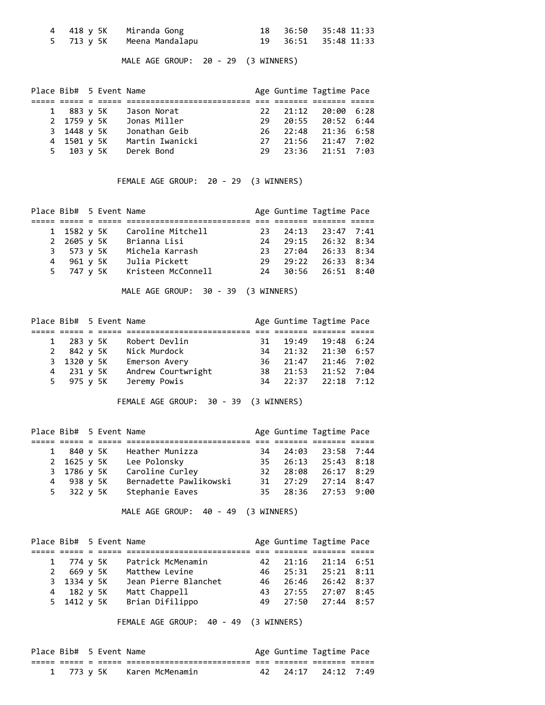|  | 4 418 y 5K   Miranda Gong    |  | 18 36:50 35:48 11:33 |
|--|------------------------------|--|----------------------|
|  | 5 713 y 5K   Meena Mandalapu |  | 19 36:51 35:48 11:33 |

MALE AGE GROUP: 20 - 29 (3 WINNERS)

| Place Bib# 5 Event Name |  |                 |  | Age Guntime Tagtime Pace |  |
|-------------------------|--|-----------------|--|--------------------------|--|
|                         |  |                 |  |                          |  |
| 1 883 y 5K              |  | Jason Norat     |  | 22 21:12 20:00 6:28      |  |
| 2 1759 y 5K             |  | Jonas Miller    |  | 29 20:55 20:52 6:44      |  |
| 3 1448 y 5K             |  | Jonathan Geib   |  | 26 22:48 21:36 6:58      |  |
| 4 1501 y 5K             |  | Martin Iwanicki |  | 27 21:56 21:47 7:02      |  |
| 5 103 y 5K              |  | Derek Bond      |  | 29 23:36 21:51 7:03      |  |

FEMALE AGE GROUP: 20 - 29 (3 WINNERS)

|  | Caroline Mitchell                                                    |                         |  |                                                                                                                                             |
|--|----------------------------------------------------------------------|-------------------------|--|---------------------------------------------------------------------------------------------------------------------------------------------|
|  | Brianna Lisi                                                         |                         |  |                                                                                                                                             |
|  | Michela Karrash                                                      |                         |  |                                                                                                                                             |
|  | Julia Pickett                                                        |                         |  |                                                                                                                                             |
|  | Kristeen McConnell                                                   |                         |  |                                                                                                                                             |
|  | 1 1582 y 5K<br>2 2605 y 5K<br>3 573 y 5K<br>4 961 y 5K<br>5 747 y 5K | Place Bib# 5 Event Name |  | Age Guntime Tagtime Pace<br>23 24:13 23:47 7:41<br>24 29:15 26:32 8:34<br>23 27:04 26:33 8:34<br>29 29:22 26:33 8:34<br>24 30:56 26:51 8:40 |

MALE AGE GROUP: 30 - 39 (3 WINNERS)

|             | Place Bib# 5 Event Name |                    |  | Age Guntime Tagtime Pace |  |
|-------------|-------------------------|--------------------|--|--------------------------|--|
|             |                         |                    |  |                          |  |
| 1 283 y 5K  |                         | Robert Devlin      |  | 31 19:49 19:48 6:24      |  |
| 2 842 y 5K  |                         | Nick Murdock       |  | 34 21:32 21:30 6:57      |  |
| 3 1320 y 5K |                         | Emerson Avery      |  | 36 21:47 21:46 7:02      |  |
| 4 231 y 5K  |                         | Andrew Courtwright |  | 38 21:53 21:52 7:04      |  |
| 5 975 y 5K  |                         | Jeremy Powis       |  | 34 22:37 22:18 7:12      |  |

FEMALE AGE GROUP: 30 - 39 (3 WINNERS)

|  | Heather Munizza                                                      |                                            |  |                                                                                                                                             |
|--|----------------------------------------------------------------------|--------------------------------------------|--|---------------------------------------------------------------------------------------------------------------------------------------------|
|  | Lee Polonsky                                                         |                                            |  |                                                                                                                                             |
|  |                                                                      |                                            |  |                                                                                                                                             |
|  | Bernadette Pawlikowski                                               |                                            |  |                                                                                                                                             |
|  | Stephanie Eaves                                                      |                                            |  |                                                                                                                                             |
|  | 1 840 y 5K<br>2 1625 y 5K<br>3 1786 y 5K<br>4 938 y 5K<br>5 322 y 5K | Place Bib# 5 Event Name<br>Caroline Curley |  | Age Guntime Tagtime Pace<br>34 24:03 23:58 7:44<br>35 26:13 25:43 8:18<br>32 28:08 26:17 8:29<br>31 27:29 27:14 8:47<br>35 28:36 27:53 9:00 |

MALE AGE GROUP: 40 - 49 (3 WINNERS)

| Place Bib# 5 Event Name |  |                      |  | Age Guntime Tagtime Pace |  |
|-------------------------|--|----------------------|--|--------------------------|--|
|                         |  |                      |  |                          |  |
| 1 774 y 5K              |  | Patrick McMenamin    |  | 42 21:16 21:14 6:51      |  |
| 2 669 y 5K              |  | Matthew Levine       |  | 46 25:31 25:21 8:11      |  |
| 3 1334 y 5K             |  | Jean Pierre Blanchet |  | 46 26:46 26:42 8:37      |  |
| 4 182 y 5K              |  | Matt Chappell        |  | 43 27:55 27:07 8:45      |  |
| 5 1412 y 5K             |  | Brian Difilippo      |  | 49 27:50 27:44 8:57      |  |

FEMALE AGE GROUP: 40 - 49 (3 WINNERS)

| Place Bib# 5 Event Name |  |                            |  | Age Guntime Tagtime Pace |       |
|-------------------------|--|----------------------------|--|--------------------------|-------|
|                         |  |                            |  |                          | ----- |
|                         |  | 1 773 y 5K Karen McMenamin |  | 42 24:17 24:12 7:49      |       |